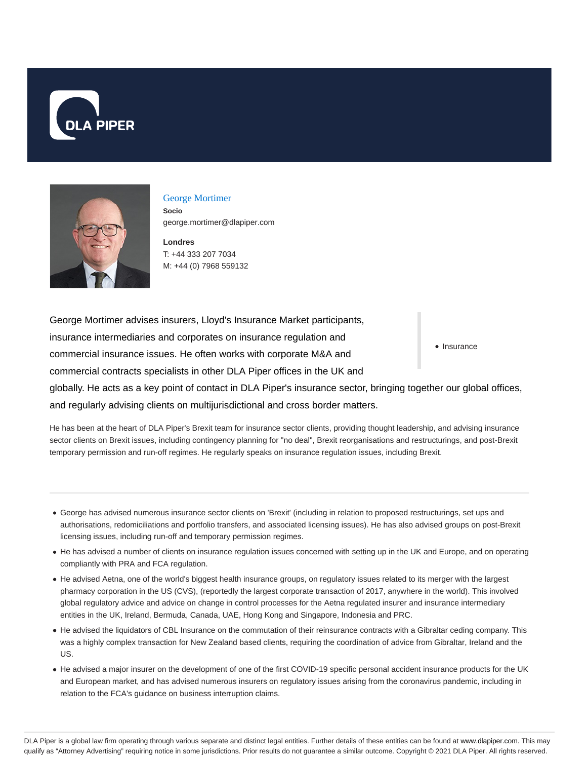



#### George Mortimer

**Socio** george.mortimer@dlapiper.com

**Londres** T: +44 333 207 7034 M: +44 (0) 7968 559132

• Insurance George Mortimer advises insurers, Lloyd's Insurance Market participants, insurance intermediaries and corporates on insurance regulation and commercial insurance issues. He often works with corporate M&A and commercial contracts specialists in other DLA Piper offices in the UK and globally. He acts as a key point of contact in DLA Piper's insurance sector, bringing together our global offices, and regularly advising clients on multijurisdictional and cross border matters.

He has been at the heart of DLA Piper's Brexit team for insurance sector clients, providing thought leadership, and advising insurance sector clients on Brexit issues, including contingency planning for "no deal", Brexit reorganisations and restructurings, and post-Brexit temporary permission and run-off regimes. He regularly speaks on insurance regulation issues, including Brexit.

- George has advised numerous insurance sector clients on 'Brexit' (including in relation to proposed restructurings, set ups and authorisations, redomiciliations and portfolio transfers, and associated licensing issues). He has also advised groups on post-Brexit licensing issues, including run-off and temporary permission regimes.
- He has advised a number of clients on insurance regulation issues concerned with setting up in the UK and Europe, and on operating compliantly with PRA and FCA regulation.
- He advised Aetna, one of the world's biggest health insurance groups, on regulatory issues related to its merger with the largest pharmacy corporation in the US (CVS), (reportedly the largest corporate transaction of 2017, anywhere in the world). This involved global regulatory advice and advice on change in control processes for the Aetna regulated insurer and insurance intermediary entities in the UK, Ireland, Bermuda, Canada, UAE, Hong Kong and Singapore, Indonesia and PRC.
- He advised the liquidators of CBL Insurance on the commutation of their reinsurance contracts with a Gibraltar ceding company. This was a highly complex transaction for New Zealand based clients, requiring the coordination of advice from Gibraltar, Ireland and the US.
- He advised a major insurer on the development of one of the first COVID-19 specific personal accident insurance products for the UK and European market, and has advised numerous insurers on regulatory issues arising from the coronavirus pandemic, including in relation to the FCA's guidance on business interruption claims.